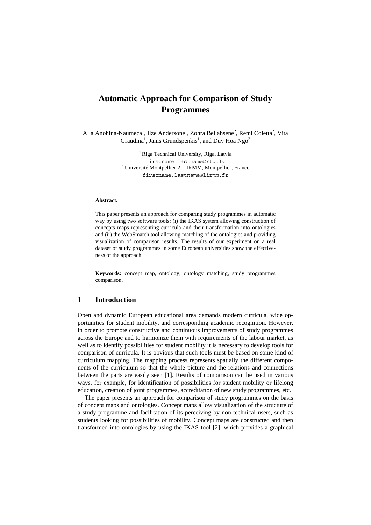# **Automatic Approach for Comparison of Study Programmes**

Alla Anohina-Naumeca<sup>1</sup>, Ilze Andersone<sup>1</sup>, Zohra Bellahsene<sup>2</sup>, Remi Coletta<sup>2</sup>, Vita Graudina<sup>1</sup>, Janis Grundspenkis<sup>1</sup>, and Duy Hoa Ngo<sup>2</sup>

> <sup>1</sup> Riga Technical University, Riga, Latvia firstname.lastname@rtu.lv <sup>2</sup> Université Montpellier 2, LIRMM, Montpellier, France firstname.lastname@lirmm.fr

#### **Abstract.**

This paper presents an approach for comparing study programmes in automatic way by using two software tools: (i) the IKAS system allowing construction of concepts maps representing curricula and their transformation into ontologies and (ii) the WebSmatch tool allowing matching of the ontologies and providing visualization of comparison results. The results of our experiment on a real dataset of study programmes in some European universities show the effectiveness of the approach.

**Keywords:** concept map, ontology, ontology matching, study programmes comparison.

## **1 Introduction**

Open and dynamic European educational area demands modern curricula, wide opportunities for student mobility, and corresponding academic recognition. However, in order to promote constructive and continuous improvements of study programmes across the Europe and to harmonize them with requirements of the labour market, as well as to identify possibilities for student mobility it is necessary to develop tools for comparison of curricula. It is obvious that such tools must be based on some kind of curriculum mapping. The mapping process represents spatially the different components of the curriculum so that the whole picture and the relations and connections between the parts are easily seen [1]. Results of comparison can be used in various ways, for example, for identification of possibilities for student mobility or lifelong education, creation of joint programmes, accreditation of new study programmes, etc.

The paper presents an approach for comparison of study programmes on the basis of concept maps and ontologies. Concept maps allow visualization of the structure of a study programme and facilitation of its perceiving by non-technical users, such as students looking for possibilities of mobility. Concept maps are constructed and then transformed into ontologies by using the IKAS tool [2], which provides a graphical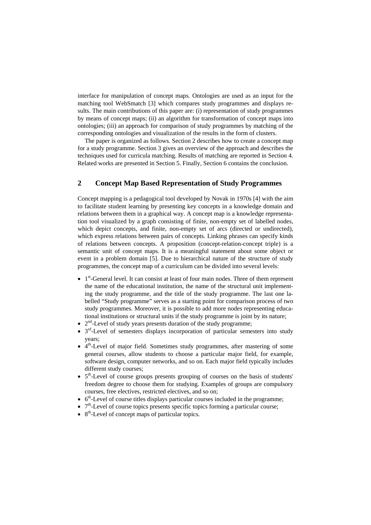interface for manipulation of concept maps. Ontologies are used as an input for the matching tool WebSmatch [3] which compares study programmes and displays results. The main contributions of this paper are: (i) representation of study programmes by means of concept maps; (ii) an algorithm for transformation of concept maps into ontologies; (iii) an approach for comparison of study programmes by matching of the corresponding ontologies and visualization of the results in the form of clusters.

The paper is organized as follows. Section 2 describes how to create a concept map for a study programme. Section 3 gives an overview of the approach and describes the techniques used for curricula matching. Results of matching are reported in Section 4. Related works are presented in Section 5. Finally, Section 6 contains the conclusion.

## **2 Concept Map Based Representation of Study Programmes**

Concept mapping is a pedagogical tool developed by Novak in 1970s [4] with the aim to facilitate student learning by presenting key concepts in a knowledge domain and relations between them in a graphical way. A concept map is a knowledge representation tool visualized by a graph consisting of finite, non-empty set of labelled nodes, which depict concepts, and finite, non-empty set of arcs (directed or undirected), which express relations between pairs of concepts. Linking phrases can specify kinds of relations between concepts. A proposition (concept-relation-concept triple) is a semantic unit of concept maps. It is a meaningful statement about some object or event in a problem domain [5]. Due to hierarchical nature of the structure of study programmes, the concept map of a curriculum can be divided into several levels:

- 1<sup>st</sup>-General level. It can consist at least of four main nodes. Three of them represent the name of the educational institution, the name of the structural unit implementing the study programme, and the title of the study programme. The last one labelled "Study programme" serves as a starting point for comparison process of two study programmes. Moreover, it is possible to add more nodes representing educational institutions or structural units if the study programme is joint by its nature;
- $2<sup>nd</sup>$ -Level of study years presents duration of the study programme;
- 3<sup>rd</sup>-Level of semesters displays incorporation of particular semesters into study years;
- $\bullet$  4<sup>th</sup>-Level of major field. Sometimes study programmes, after mastering of some general courses, allow students to choose a particular major field, for example, software design, computer networks, and so on. Each major field typically includes different study courses;
- $\bullet$  5<sup>th</sup>-Level of course groups presents grouping of courses on the basis of students' freedom degree to choose them for studying. Examples of groups are compulsory courses, free electives, restricted electives, and so on;
- $6<sup>th</sup>$ -Level of course titles displays particular courses included in the programme;
- $7<sup>th</sup>$ -Level of course topics presents specific topics forming a particular course;
- $\bullet$  8<sup>th</sup>-Level of concept maps of particular topics.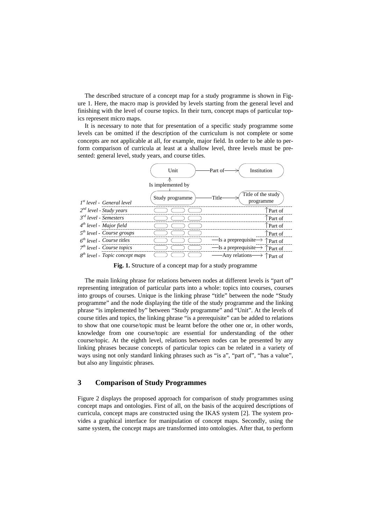The described structure of a concept map for a study programme is shown in Figure 1. Here, the macro map is provided by levels starting from the general level and finishing with the level of course topics. In their turn, concept maps of particular topics represent micro maps.

It is necessary to note that for presentation of a specific study programme some levels can be omitted if the description of the curriculum is not complete or some concepts are not applicable at all, for example, major field. In order to be able to perform comparison of curricula at least at a shallow level, three levels must be presented: general level, study years, and course titles.



**Fig. 1.** Structure of a concept map for a study programme

The main linking phrase for relations between nodes at different levels is "part of" representing integration of particular parts into a whole: topics into courses, courses into groups of courses. Unique is the linking phrase "title" between the node "Study programme" and the node displaying the title of the study programme and the linking phrase "is implemented by" between "Study programme" and "Unit". At the levels of course titles and topics, the linking phrase "is a prerequisite" can be added to relations to show that one course/topic must be learnt before the other one or, in other words, knowledge from one course/topic are essential for understanding of the other course/topic. At the eighth level, relations between nodes can be presented by any linking phrases because concepts of particular topics can be related in a variety of ways using not only standard linking phrases such as "is a", "part of", "has a value", but also any linguistic phrases.

### **3 Comparison of Study Programmes**

Figure 2 displays the proposed approach for comparison of study programmes using concept maps and ontologies. First of all, on the basis of the acquired descriptions of curricula, concept maps are constructed using the IKAS system [2]. The system provides a graphical interface for manipulation of concept maps. Secondly, using the same system, the concept maps are transformed into ontologies. After that, to perform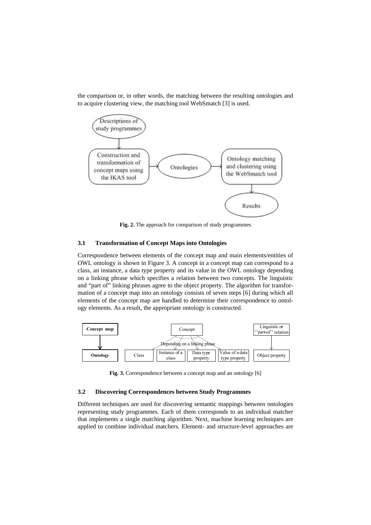the comparison or, in other words, the matching between the resulting ontologies and to acquire clustering view, the matching tool WebSmatch [3] is used.



**Fig. 2.** The approach for comparison of study programmes

#### **3.1 Transformation of Concept Maps into Ontologies**

Correspondence between elements of the concept map and main elements/entities of OWL ontology is shown in Figure 3. A concept in a concept map can correspond to a class, an instance, a data type property and its value in the OWL ontology depending on a linking phrase which specifies a relation between two concepts. The linguistic and "part of" linking phrases agree to the object property. The algorithm for transformation of a concept map into an ontology consists of seven steps [6] during which all elements of the concept map are handled to determine their correspondence to ontology elements. As a result, the appropriate ontology is constructed.



**Fig. 3.** Correspondence between a concept map and an ontology [6]

#### **3.2 Discovering Correspondences between Study Programmes**

Different techniques are used for discovering semantic mappings between ontologies representing study programmes. Each of them corresponds to an individual matcher that implements a single matching algorithm. Next, machine learning techniques are applied to combine individual matchers. Element- and structure-level approaches are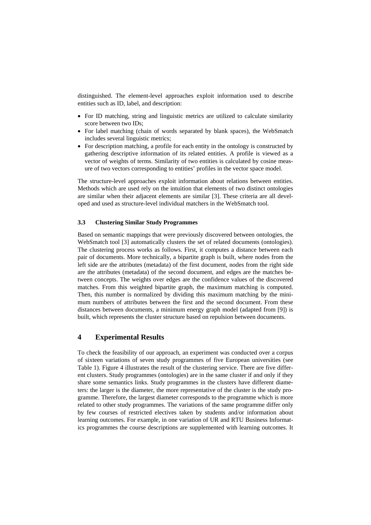distinguished. The element-level approaches exploit information used to describe entities such as ID, label, and description:

- For ID matching, string and linguistic metrics are utilized to calculate similarity score between two IDs;
- For label matching (chain of words separated by blank spaces), the WebSmatch includes several linguistic metrics;
- For description matching, a profile for each entity in the ontology is constructed by gathering descriptive information of its related entities. A profile is viewed as a vector of weights of terms. Similarity of two entities is calculated by cosine measure of two vectors corresponding to entities' profiles in the vector space model.

The structure-level approaches exploit information about relations between entities. Methods which are used rely on the intuition that elements of two distinct ontologies are similar when their adjacent elements are similar [3]. These criteria are all developed and used as structure-level individual matchers in the WebSmatch tool.

#### **3.3 Clustering Similar Study Programmes**

Based on semantic mappings that were previously discovered between ontologies, the WebSmatch tool [3] automatically clusters the set of related documents (ontologies). The clustering process works as follows. First, it computes a distance between each pair of documents. More technically, a bipartite graph is built, where nodes from the left side are the attributes (metadata) of the first document, nodes from the right side are the attributes (metadata) of the second document, and edges are the matches between concepts. The weights over edges are the confidence values of the discovered matches. From this weighted bipartite graph, the maximum matching is computed. Then, this number is normalized by dividing this maximum matching by the minimum numbers of attributes between the first and the second document. From these distances between documents, a minimum energy graph model (adapted from [9]) is built, which represents the cluster structure based on repulsion between documents.

### **4 Experimental Results**

To check the feasibility of our approach, an experiment was conducted over a corpus of sixteen variations of seven study programmes of five European universities (see Table 1). Figure 4 illustrates the result of the clustering service. There are five different clusters. Study programmes (ontologies) are in the same cluster if and only if they share some semantics links. Study programmes in the clusters have different diameters: the larger is the diameter, the more representative of the cluster is the study programme. Therefore, the largest diameter corresponds to the programme which is more related to other study programmes. The variations of the same programme differ only by few courses of restricted electives taken by students and/or information about learning outcomes. For example, in one variation of UR and RTU Business Informatics programmes the course descriptions are supplemented with learning outcomes. It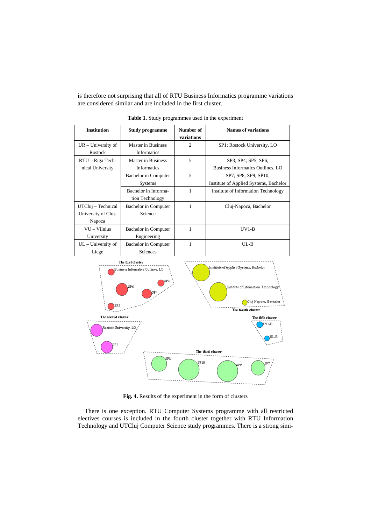is therefore not surprising that all of RTU Business Informatics programme variations are considered similar and are included in the first cluster.

| <b>Institution</b>                                  | <b>Study programme</b>                   | Number of<br>variations | <b>Names of variations</b>                                     |
|-----------------------------------------------------|------------------------------------------|-------------------------|----------------------------------------------------------------|
| $UR$ – University of<br>Rostock                     | Master in Business<br><b>Informatics</b> | $\overline{2}$          | SP1; Rostock University, LO                                    |
| RTU - Riga Tech-<br>nical University                | Master in Business<br>Informatics        | 5                       | SP3; SP4; SP5; SP6;<br>Business Informatics Outlines, LO       |
|                                                     | Bachelor in Computer<br>Systems          | 5                       | SP7; SP8; SP9; SP10;<br>Institute of Applied Systems, Bachelor |
|                                                     | Bachelor in Informa-<br>tion Technology  | 1                       | Institute of Information Technology                            |
| UTCluj – Technical<br>University of Cluj-<br>Napoca | Bachelor in Computer<br>Science          | 1                       | Cluj-Napoca, Bachelor                                          |
| $VU - Vilnius$<br>University                        | Bachelor in Computer<br>Engineering      | 1                       | $UV1-B$                                                        |
| $UL$ – University of<br>Liege                       | Bachelor in Computer<br>Sciences         | 1                       | $UL-B$                                                         |

**Table 1.** Study programmes used in the experiment



**Fig. 4.** Results of the experiment in the form of clusters

There is one exception. RTU Computer Systems programme with all restricted electives courses is included in the fourth cluster together with RTU Information Technology and UTCluj Computer Science study programmes. There is a strong simi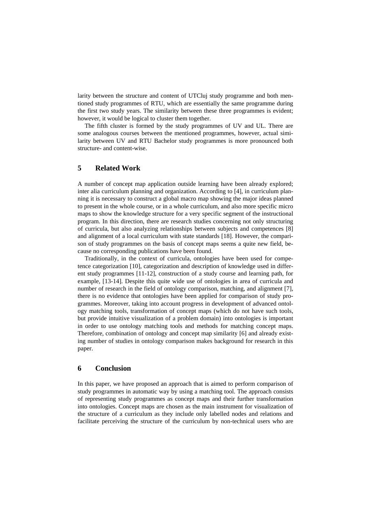larity between the structure and content of UTCluj study programme and both mentioned study programmes of RTU, which are essentially the same programme during the first two study years. The similarity between these three programmes is evident; however, it would be logical to cluster them together.

The fifth cluster is formed by the study programmes of UV and UL. There are some analogous courses between the mentioned programmes, however, actual similarity between UV and RTU Bachelor study programmes is more pronounced both structure- and content-wise.

## **5 Related Work**

A number of concept map application outside learning have been already explored; inter alia curriculum planning and organization. According to [4], in curriculum planning it is necessary to construct a global macro map showing the major ideas planned to present in the whole course, or in a whole curriculum, and also more specific micro maps to show the knowledge structure for a very specific segment of the instructional program. In this direction, there are research studies concerning not only structuring of curricula, but also analyzing relationships between subjects and competences [8] and alignment of a local curriculum with state standards [18]. However, the comparison of study programmes on the basis of concept maps seems a quite new field, because no corresponding publications have been found.

Traditionally, in the context of curricula, ontologies have been used for competence categorization [10], categorization and description of knowledge used in different study programmes [11-12], construction of a study course and learning path, for example, [13-14]. Despite this quite wide use of ontologies in area of curricula and number of research in the field of ontology comparison, matching, and alignment [7], there is no evidence that ontologies have been applied for comparison of study programmes. Moreover, taking into account progress in development of advanced ontology matching tools, transformation of concept maps (which do not have such tools, but provide intuitive visualization of a problem domain) into ontologies is important in order to use ontology matching tools and methods for matching concept maps. Therefore, combination of ontology and concept map similarity [6] and already existing number of studies in ontology comparison makes background for research in this paper.

#### **6 Conclusion**

In this paper, we have proposed an approach that is aimed to perform comparison of study programmes in automatic way by using a matching tool. The approach consists of representing study programmes as concept maps and their further transformation into ontologies. Concept maps are chosen as the main instrument for visualization of the structure of a curriculum as they include only labelled nodes and relations and facilitate perceiving the structure of the curriculum by non-technical users who are